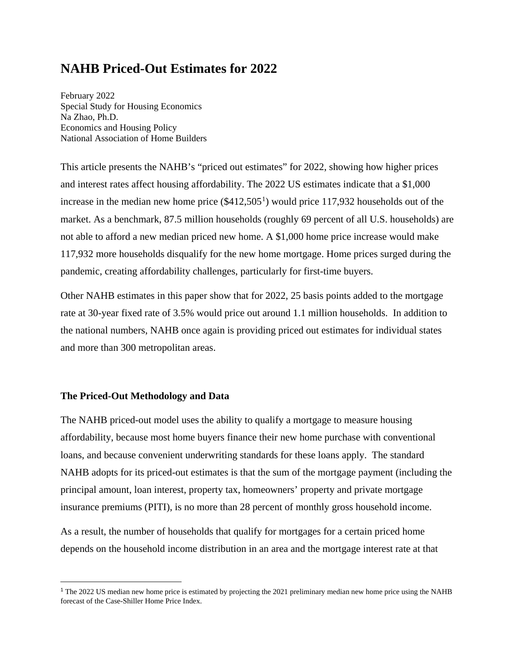# **NAHB Priced-Out Estimates for 2022**

February 2022 Special Study for Housing Economics Na Zhao, Ph.D. Economics and Housing Policy National Association of Home Builders

This article presents the NAHB's "priced out estimates" for 2022, showing how higher prices and interest rates affect housing affordability. The 2022 US estimates indicate that a \$1,000 increase in the median new home price  $(\$412,505<sup>1</sup>)$  $(\$412,505<sup>1</sup>)$  $(\$412,505<sup>1</sup>)$  would price 117,932 households out of the market. As a benchmark, 87.5 million households (roughly 69 percent of all U.S. households) are not able to afford a new median priced new home. A \$1,000 home price increase would make 117,932 more households disqualify for the new home mortgage. Home prices surged during the pandemic, creating affordability challenges, particularly for first-time buyers.

Other NAHB estimates in this paper show that for 2022, 25 basis points added to the mortgage rate at 30-year fixed rate of 3.5% would price out around 1.1 million households. In addition to the national numbers, NAHB once again is providing priced out estimates for individual states and more than 300 metropolitan areas.

# **The Priced-Out Methodology and Data**

The NAHB priced-out model uses the ability to qualify a mortgage to measure housing affordability, because most home buyers finance their new home purchase with conventional loans, and because convenient underwriting standards for these loans apply. The standard NAHB adopts for its priced-out estimates is that the sum of the mortgage payment (including the principal amount, loan interest, property tax, homeowners' property and private mortgage insurance premiums (PITI), is no more than 28 percent of monthly gross household income.

As a result, the number of households that qualify for mortgages for a certain priced home depends on the household income distribution in an area and the mortgage interest rate at that

<sup>&</sup>lt;sup>1</sup> The 2022 US median new home price is estimated by projecting the 2021 preliminary median new home price using the NAHB forecast of the Case-Shiller Home Price Index.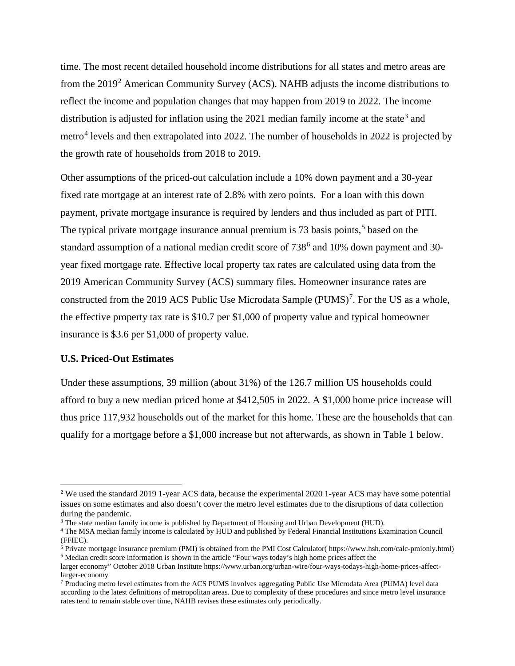time. The most recent detailed household income distributions for all states and metro areas are from the 2019[2](#page--1-1) American Community Survey (ACS). NAHB adjusts the income distributions to reflect the income and population changes that may happen from 2019 to 2022. The income distribution is adjusted for inflation using the 2021 median family income at the state<sup>[3](#page--1-2)</sup> and metro<sup>[4](#page--1-3)</sup> levels and then extrapolated into 2022. The number of households in 2022 is projected by the growth rate of households from 2018 to 2019.

Other assumptions of the priced-out calculation include a 10% down payment and a 30-year fixed rate mortgage at an interest rate of 2.8% with zero points. For a loan with this down payment, private mortgage insurance is required by lenders and thus included as part of PITI. The typical private mortgage insurance annual premium is 73 basis points,<sup>[5](#page--1-4)</sup> based on the standard assumption of a national median credit score of  $738<sup>6</sup>$  $738<sup>6</sup>$  $738<sup>6</sup>$  and 10% down payment and 30year fixed mortgage rate. Effective local property tax rates are calculated using data from the 2019 American Community Survey (ACS) summary files. Homeowner insurance rates are constructed from the 2019 ACS Public Use Microdata Sample  $(PUMS)^7$  $(PUMS)^7$ . For the US as a whole, the effective property tax rate is \$10.7 per \$1,000 of property value and typical homeowner insurance is \$3.6 per \$1,000 of property value.

## **U.S. Priced-Out Estimates**

Under these assumptions, 39 million (about 31%) of the 126.7 million US households could afford to buy a new median priced home at \$412,505 in 2022. A \$1,000 home price increase will thus price 117,932 households out of the market for this home. These are the households that can qualify for a mortgage before a \$1,000 increase but not afterwards, as shown in Table 1 below.

 <sup>2</sup> We used the standard 2019 1-year ACS data, because the experimental 2020 1-year ACS may have some potential issues on some estimates and also doesn't cover the metro level estimates due to the disruptions of data collection during the pandemic.

<sup>3</sup> The state median family income is published by Department of Housing and Urban Development (HUD).

<sup>&</sup>lt;sup>4</sup> The MSA median family income is calculated by HUD and published by Federal Financial Institutions Examination Council (FFIEC).

<sup>5</sup> Private mortgage insurance premium (PMI) is obtained from the PMI Cost Calculator( https://www.hsh.com/calc-pmionly.html) <sup>6</sup> Median credit score information is shown in the article "Four ways today's high home prices affect the

larger economy" October 2018 Urban Institute https://www.urban.org/urban-wire/four-ways-todays-high-home-prices-affectlarger-economy

<sup>7</sup> Producing metro level estimates from the ACS PUMS involves aggregating Public Use Microdata Area (PUMA) level data according to the latest definitions of metropolitan areas. Due to complexity of these procedures and since metro level insurance rates tend to remain stable over time, NAHB revises these estimates only periodically.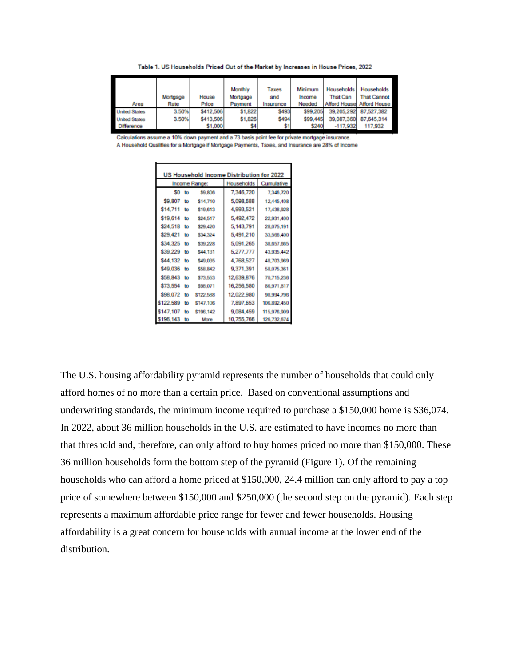Table 1. US Households Priced Out of the Market by Increases in House Prices, 2022

| Area                 | Mortgage<br>Rate | House<br>Price | Monthly<br>Mortgage<br>Payment | Taxes<br>and<br>Insurance | Minimum<br>Income<br>Needed | <b>Households</b><br><b>That Can</b> | <b>Households</b><br><b>That Cannot</b><br><b>Afford House Afford House</b> |
|----------------------|------------------|----------------|--------------------------------|---------------------------|-----------------------------|--------------------------------------|-----------------------------------------------------------------------------|
| <b>United States</b> | 3.50%            | \$412,506      | \$1,822                        | \$493                     | \$99,205                    | 39.205.292                           | 87.527.382                                                                  |
| <b>United States</b> | 3.50%            | \$413,506      | \$1,826                        | \$494                     | \$99,445                    | 39,087,360                           | 87.645.314                                                                  |
| <b>Difference</b>    |                  | \$1,000        | \$4                            | \$1                       | \$240                       | $-117,932$                           | 117,932                                                                     |

Calculations assume a 10% down payment and a 73 basis point fee for private mortgage insurance.

A Household Qualifies for a Mortgage if Mortgage Payments, Taxes, and Insurance are 28% of Income

| US Household Income Distribution for 2022 |    |               |                   |             |  |  |  |  |
|-------------------------------------------|----|---------------|-------------------|-------------|--|--|--|--|
|                                           |    | Income Range: | <b>Households</b> | Cumulative  |  |  |  |  |
| \$0                                       | to | \$9,806       | 7,346,720         | 7,346,720   |  |  |  |  |
| \$9,807                                   | to | \$14,710      | 5,098,688         | 12,445,408  |  |  |  |  |
| \$14,711                                  | to | \$19,613      | 4,993,521         | 17,438,928  |  |  |  |  |
| \$19,614                                  | to | \$24,517      | 5,492,472         | 22,931,400  |  |  |  |  |
| \$24,518                                  | to | \$29,420      | 5,143,791         | 28,075,191  |  |  |  |  |
| \$29,421                                  | to | \$34,324      | 5,491,210         | 33,566,400  |  |  |  |  |
| \$34,325                                  | to | \$39,228      | 5,091,265         | 38,657,665  |  |  |  |  |
| \$39,229                                  | to | \$44,131      | 5,277,777         | 43,935,442  |  |  |  |  |
| \$44,132                                  | to | \$49,035      | 4,768,527         | 48,703,969  |  |  |  |  |
| \$49,036                                  | to | \$58,842      | 9,371,391         | 58,075,361  |  |  |  |  |
| \$58,843                                  | to | \$73,553      | 12,639,876        | 70,715,236  |  |  |  |  |
| \$73,554                                  | to | \$98,071      | 16,256,580        | 86,971,817  |  |  |  |  |
| \$98,072                                  | to | \$122,588     | 12,022,980        | 98.994.796  |  |  |  |  |
| \$122,589                                 | to | \$147,106     | 7,897,653         | 106,892,450 |  |  |  |  |
| \$147.107                                 | to | \$196,142     | 9,084,459         | 115,976,909 |  |  |  |  |
| \$196,143                                 | to | More          | 10,755,766        | 126,732,674 |  |  |  |  |

The U.S. housing affordability pyramid represents the number of households that could only afford homes of no more than a certain price. Based on conventional assumptions and underwriting standards, the minimum income required to purchase a \$150,000 home is \$36,074. In 2022, about 36 million households in the U.S. are estimated to have incomes no more than that threshold and, therefore, can only afford to buy homes priced no more than \$150,000. These 36 million households form the bottom step of the pyramid (Figure 1). Of the remaining households who can afford a home priced at \$150,000, 24.4 million can only afford to pay a top price of somewhere between \$150,000 and \$250,000 (the second step on the pyramid). Each step represents a maximum affordable price range for fewer and fewer households. Housing affordability is a great concern for households with annual income at the lower end of the distribution.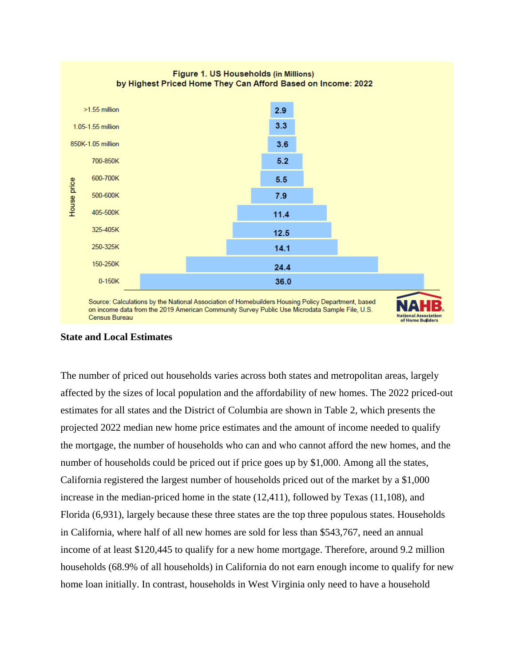

### Figure 1. US Households (in Millions) by Highest Priced Home They Can Afford Based on Income: 2022

# **State and Local Estimates**

The number of priced out households varies across both states and metropolitan areas, largely affected by the sizes of local population and the affordability of new homes. The 2022 priced-out estimates for all states and the District of Columbia are shown in Table 2, which presents the projected 2022 median new home price estimates and the amount of income needed to qualify the mortgage, the number of households who can and who cannot afford the new homes, and the number of households could be priced out if price goes up by \$1,000. Among all the states, California registered the largest number of households priced out of the market by a \$1,000 increase in the median-priced home in the state (12,411), followed by Texas (11,108), and Florida (6,931), largely because these three states are the top three populous states. Households in California, where half of all new homes are sold for less than \$543,767, need an annual income of at least \$120,445 to qualify for a new home mortgage. Therefore, around 9.2 million households (68.9% of all households) in California do not earn enough income to qualify for new home loan initially. In contrast, households in West Virginia only need to have a household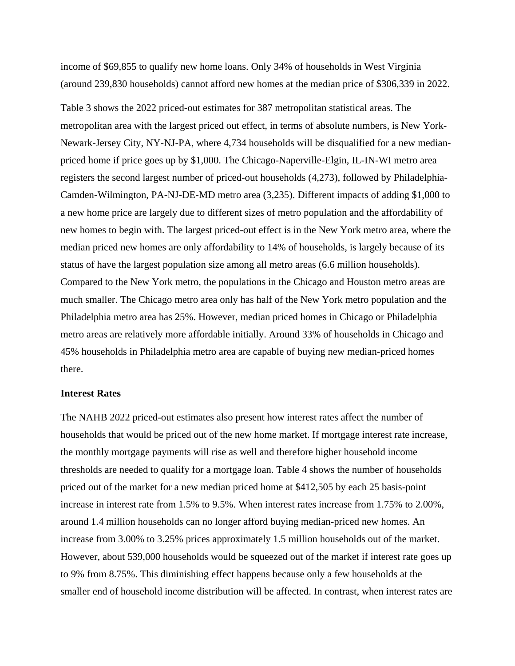income of \$69,855 to qualify new home loans. Only 34% of households in West Virginia (around 239,830 households) cannot afford new homes at the median price of \$306,339 in 2022.

Table 3 shows the 2022 priced-out estimates for 387 metropolitan statistical areas. The metropolitan area with the largest priced out effect, in terms of absolute numbers, is New York-Newark-Jersey City, NY-NJ-PA, where 4,734 households will be disqualified for a new medianpriced home if price goes up by \$1,000. The Chicago-Naperville-Elgin, IL-IN-WI metro area registers the second largest number of priced-out households (4,273), followed by Philadelphia-Camden-Wilmington, PA-NJ-DE-MD metro area (3,235). Different impacts of adding \$1,000 to a new home price are largely due to different sizes of metro population and the affordability of new homes to begin with. The largest priced-out effect is in the New York metro area, where the median priced new homes are only affordability to 14% of households, is largely because of its status of have the largest population size among all metro areas (6.6 million households). Compared to the New York metro, the populations in the Chicago and Houston metro areas are much smaller. The Chicago metro area only has half of the New York metro population and the Philadelphia metro area has 25%. However, median priced homes in Chicago or Philadelphia metro areas are relatively more affordable initially. Around 33% of households in Chicago and 45% households in Philadelphia metro area are capable of buying new median-priced homes there.

## **Interest Rates**

The NAHB 2022 priced-out estimates also present how interest rates affect the number of households that would be priced out of the new home market. If mortgage interest rate increase, the monthly mortgage payments will rise as well and therefore higher household income thresholds are needed to qualify for a mortgage loan. Table 4 shows the number of households priced out of the market for a new median priced home at \$412,505 by each 25 basis-point increase in interest rate from 1.5% to 9.5%. When interest rates increase from 1.75% to 2.00%, around 1.4 million households can no longer afford buying median-priced new homes. An increase from 3.00% to 3.25% prices approximately 1.5 million households out of the market. However, about 539,000 households would be squeezed out of the market if interest rate goes up to 9% from 8.75%. This diminishing effect happens because only a few households at the smaller end of household income distribution will be affected. In contrast, when interest rates are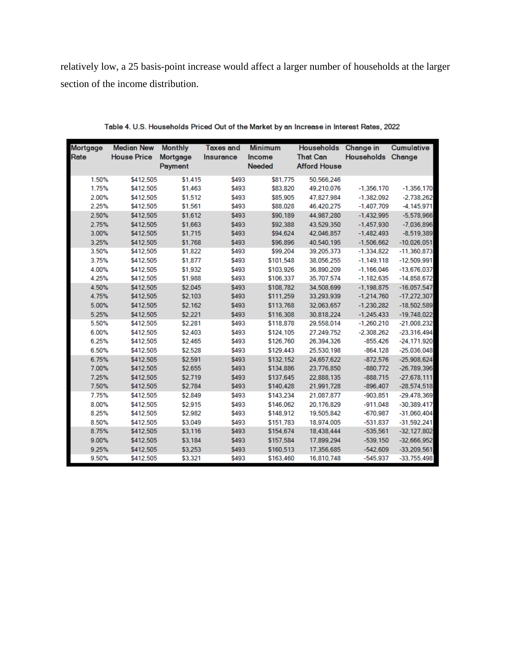relatively low, a 25 basis-point increase would affect a larger number of households at the larger section of the income distribution.

| <b>Mortgage</b><br>Rate | <b>Median New</b><br><b>House Price</b> | <b>Monthly</b><br><b>Mortgage</b><br>Payment | <b>Taxes and</b><br>Insurance | <b>Minimum</b><br>Income<br><b>Needed</b> | <b>Households</b><br><b>That Can</b><br><b>Afford House</b> | <b>Change in</b><br><b>Households</b> | <b>Cumulative</b><br>Change |
|-------------------------|-----------------------------------------|----------------------------------------------|-------------------------------|-------------------------------------------|-------------------------------------------------------------|---------------------------------------|-----------------------------|
| 1.50%                   | \$412.505                               | \$1,415                                      | \$493                         | \$81,775                                  | 50.566.246                                                  |                                       |                             |
| 1.75%                   | \$412,505                               | \$1,463                                      | \$493                         | \$83,820                                  | 49.210.076                                                  | $-1.356.170$                          | $-1,356,170$                |
| 2.00%                   | \$412,505                               | \$1,512                                      | \$493                         | \$85,905                                  | 47.827.984                                                  | $-1.382.092$                          | $-2.738.262$                |
| 2.25%                   | \$412,505                               | \$1,561                                      | \$493                         | \$88,028                                  | 46,420,275                                                  | $-1,407,709$                          | $-4,145,971$                |
| 2.50%                   | \$412,505                               | \$1,612                                      | \$493                         | \$90,189                                  | 44,987,280                                                  | $-1.432.995$                          | $-5,578,966$                |
| 2.75%                   | \$412.505                               | \$1,663                                      | \$493                         | \$92.388                                  | 43.529.350                                                  | $-1.457.930$                          | $-7.036.896$                |
| 3.00%                   | \$412,505                               | \$1,715                                      | \$493                         | \$94,624                                  | 42,046,857                                                  | $-1,482,493$                          | $-8,519,389$                |
| 3.25%                   | \$412,505                               | \$1,768                                      | \$493                         | \$96,896                                  | 40,540,195                                                  | $-1,506,662$                          | $-10.026.051$               |
| 3.50%                   | \$412,505                               | \$1,822                                      | \$493                         | \$99,204                                  | 39,205,373                                                  | $-1,334,822$                          | $-11,360,873$               |
| 3.75%                   | \$412,505                               | \$1,877                                      | \$493                         | \$101,548                                 | 38,056,255                                                  | $-1.149.118$                          | $-12,509,991$               |
| 4.00%                   | \$412,505                               | \$1,932                                      | \$493                         | \$103.926                                 | 36.890.209                                                  | $-1.166.046$                          | $-13,676,037$               |
| 4.25%                   | \$412,505                               | \$1,988                                      | \$493                         | \$106,337                                 | 35,707,574                                                  | $-1,182,635$                          | $-14,858,672$               |
| 4.50%                   | \$412,505                               | \$2.045                                      | \$493                         | \$108.782                                 | 34.508.699                                                  | $-1,198,875$                          | $-16,057,547$               |
| 4.75%                   | \$412,505                               | \$2,103                                      | \$493                         | \$111,259                                 | 33,293,939                                                  | $-1,214,760$                          | $-17,272,307$               |
| 5.00%                   | \$412,505                               | \$2,162                                      | \$493                         | \$113.768                                 | 32,063,657                                                  | $-1,230,282$                          | $-18,502,589$               |
| 5.25%                   | \$412.505                               | \$2,221                                      | \$493                         | \$116,308                                 | 30.818.224                                                  | $-1.245.433$                          | $-19,748,022$               |
| 5.50%                   | \$412,505                               | \$2.281                                      | \$493                         | \$118,878                                 | 29.558.014                                                  | $-1,260,210$                          | $-21,008,232$               |
| 6.00%                   | \$412.505                               | \$2,403                                      | \$493                         | \$124,105                                 | 27.249.752                                                  | $-2.308.262$                          | $-23.316.494$               |
| 6.25%                   | \$412,505                               | \$2,465                                      | \$493                         | \$126,760                                 | 26.394.326                                                  | $-855.426$                            | $-24,171,920$               |
| 6.50%                   | \$412.505                               | \$2,528                                      | \$493                         | \$129,443                                 | 25.530.198                                                  | $-864.128$                            | $-25.036.048$               |
| 6.75%                   | \$412,505                               | \$2,591                                      | \$493                         | \$132,152                                 | 24,657,622                                                  | $-872,576$                            | $-25,908,624$               |
| 7.00%                   | \$412,505                               | \$2,655                                      | \$493                         | \$134,886                                 | 23.776.850                                                  | $-880.772$                            | $-26.789.396$               |
| 7.25%                   | \$412.505                               | \$2,719                                      | \$493                         | \$137,645                                 | 22.888.135                                                  | $-888.715$                            | $-27.678.111$               |
| 7.50%                   | \$412,505                               | \$2,784                                      | \$493                         | \$140,428                                 | 21,991,728                                                  | $-896,407$                            | $-28,574,518$               |
| 7.75%                   | \$412,505                               | \$2,849                                      | \$493                         | \$143.234                                 | 21.087.877                                                  | $-903.851$                            | $-29.478.369$               |
| 8.00%                   | \$412,505                               | \$2,915                                      | \$493                         | \$146,062                                 | 20,176,829                                                  | $-911,048$                            | $-30,389,417$               |
| 8.25%                   | \$412,505                               | \$2,982                                      | \$493                         | \$148,912                                 | 19,505,842                                                  | $-670.987$                            | $-31,060,404$               |
| 8.50%                   | \$412,505                               | \$3,049                                      | \$493                         | \$151.783                                 | 18,974,005                                                  | $-531.837$                            | $-31.592.241$               |
| 8.75%                   | \$412,505                               | \$3,116                                      | \$493                         | \$154,674                                 | 18,438,444                                                  | $-535,561$                            | $-32,127,802$               |
| 9.00%                   | \$412,505                               | \$3,184                                      | \$493                         | \$157,584                                 | 17,899,294                                                  | $-539.150$                            | $-32,666,952$               |
| 9.25%                   | \$412,505                               | \$3,253                                      | \$493                         | \$160,513                                 | 17.356.685                                                  | $-542,609$                            | $-33,209,561$               |
| 9.50%                   | \$412.505                               | \$3,321                                      | \$493                         | \$163,460                                 | 16,810,748                                                  | $-545.937$                            | $-33.755.498$               |

Table 4. U.S. Households Priced Out of the Market by an Increase in Interest Rates, 2022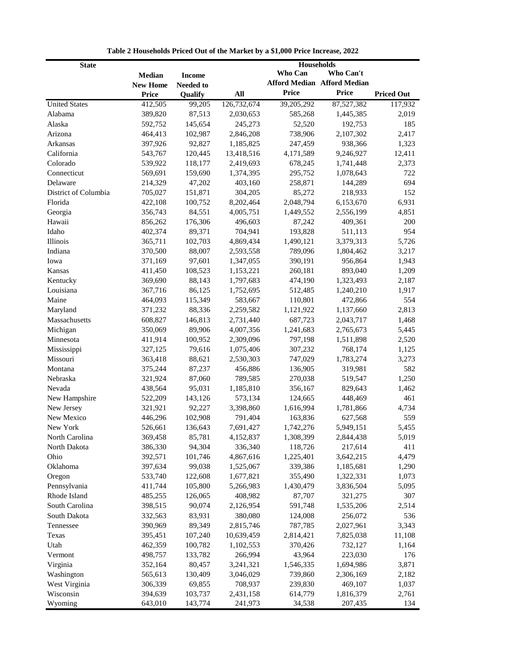| Households<br><b>State</b>                                                           |                   |
|--------------------------------------------------------------------------------------|-------------------|
| Who Can<br>Who Can't<br><b>Median</b><br><b>Income</b>                               |                   |
| <b>Afford Median Afford Median</b><br><b>New Home</b><br><b>Needed to</b>            |                   |
| <b>Price</b><br>Price<br>All<br>Price<br>Qualify                                     | <b>Priced Out</b> |
| <b>United States</b><br>412,505<br>99,205<br>126,732,674<br>39,205,292<br>87,527,382 | 117,932           |
| Alabama<br>87,513<br>389,820<br>2,030,653<br>585,268<br>1,445,385                    | 2,019             |
| Alaska<br>145,654<br>245,273<br>52,520<br>192,753<br>592,752                         | 185               |
| Arizona<br>464,413<br>2,846,208<br>738,906<br>102,987<br>2,107,302                   | 2,417             |
| Arkansas<br>397,926<br>92,827<br>247,459<br>938,366<br>1,185,825                     | 1,323             |
| California<br>543,767<br>120,445<br>13,418,516<br>4,171,589<br>9,246,927             | 12,411            |
| Colorado<br>118,177<br>539,922<br>2,419,693<br>678,245<br>1,741,448                  | 2,373             |
| Connecticut<br>569,691<br>159,690<br>295,752<br>1,078,643<br>1,374,395               | 722               |
| Delaware<br>214,329<br>47,202<br>403,160<br>258,871<br>144,289                       | 694               |
| District of Columbia<br>85,272<br>705,027<br>151,871<br>304,205<br>218,933           | 152               |
| Florida<br>422,108<br>100,752<br>8,202,464<br>2,048,794<br>6,153,670                 | 6,931             |
| 356,743<br>84,551<br>1,449,552<br>2,556,199<br>Georgia<br>4,005,751                  | 4,851             |
| Hawaii<br>176,306<br>496,603<br>87,242<br>856,262<br>409,361                         | 200               |
| Idaho<br>402,374<br>89,371<br>704,941<br>193,828<br>511,113                          | 954               |
| <b>Illinois</b><br>365,711<br>102,703<br>4,869,434<br>1,490,121<br>3,379,313         | 5,726             |
| Indiana<br>370,500<br>88,007<br>789,096<br>1,804,462<br>2,593,558                    | 3,217             |
| 371,169<br>97,601<br>390,191<br>956,864<br>Iowa<br>1,347,055                         | 1,943             |
| 108,523<br>1,153,221<br>260,181<br>893,040<br>Kansas<br>411,450                      | 1,209             |
| Kentucky<br>369,690<br>88,143<br>1,323,493<br>1,797,683<br>474,190                   | 2,187             |
| Louisiana<br>367,716<br>86.125<br>1,752,695<br>512,485<br>1,240,210                  | 1,917             |
| Maine<br>115,349<br>464,093<br>583,667<br>110,801<br>472,866                         | 554               |
| Maryland<br>371,232<br>88,336<br>2,259,582<br>1,121,922<br>1,137,660                 | 2,813             |
| Massachusetts<br>608,827<br>146,813<br>2,731,440<br>687,723<br>2,043,717             | 1,468             |
| Michigan<br>350,069<br>89,906<br>4,007,356<br>1,241,683<br>2,765,673                 | 5,445             |
| 100,952<br>1,511,898<br>Minnesota<br>411,914<br>2,309,096<br>797,198                 | 2,520             |
| Mississippi<br>327,125<br>79,616<br>307,232<br>768,174<br>1,075,406                  | 1,125             |
| Missouri<br>363,418<br>88,621<br>2,530,303<br>1,783,274<br>747,029                   | 3,273             |
| Montana<br>375,244<br>87,237<br>456,886<br>136,905<br>319,981                        | 582               |
| Nebraska<br>87,060<br>789,585<br>519,547<br>321,924<br>270,038                       | 1,250             |
| 95,031<br>1,185,810<br>Nevada<br>438,564<br>356,167<br>829,643                       | 1,462             |
| New Hampshire<br>522,209<br>143,126<br>573,134<br>448,469<br>124,665                 | 461               |
| New Jersey<br>92,227<br>3,398,860<br>1,616,994<br>321,921<br>1,781,866               | 4,734             |
| New Mexico<br>446,296<br>102,908<br>791,404<br>163,836<br>627,568                    | 559               |
| New York<br>526,661<br>136,643<br>7,691,427<br>1,742,276<br>5,949,151                | 5,455             |
| North Carolina<br>369,458<br>85,781<br>4,152,837<br>1,308,399<br>2,844,438           | 5,019             |
| 386,330<br>94,304<br>118,726<br>217,614<br>North Dakota<br>336,340                   | 411               |
| 392,571<br>1,225,401<br>Ohio<br>101,746<br>4,867,616<br>3,642,215                    | 4,479             |
| Oklahoma<br>397,634<br>99,038<br>339,386<br>1,525,067<br>1,185,681                   | 1,290             |
| Oregon<br>533,740<br>122,608<br>1,677,821<br>355,490<br>1,322,331                    | 1,073             |
| Pennsylvania<br>105,800<br>411,744<br>5,266,983<br>1,430,479<br>3,836,504            | 5,095             |
| Rhode Island<br>485,255<br>126,065<br>408,982<br>87,707<br>321,275                   | 307               |
| South Carolina<br>90,074<br>398,515<br>2,126,954<br>591,748<br>1,535,206             | 2,514             |
| South Dakota<br>332,563<br>83,931<br>380,080<br>124,008<br>256,072                   | 536               |
| Tennessee<br>390,969<br>89,349<br>2,815,746<br>787,785<br>2,027,961                  | 3,343             |
| Texas<br>395,451<br>107,240<br>10,639,459<br>2,814,421<br>7,825,038                  | 11,108            |
| Utah<br>462,359<br>100,782<br>370,426<br>732,127<br>1,102,553                        | 1,164             |
| 266,994<br>43,964<br>Vermont<br>498,757<br>133,782<br>223,030                        | 176               |
| Virginia<br>352,164<br>80,457<br>3,241,321<br>1,546,335<br>1,694,986                 | 3,871             |
| 130,409<br>Washington<br>565,613<br>3,046,029<br>739,860<br>2,306,169                | 2,182             |
| West Virginia<br>306,339<br>69,855<br>708,937<br>239,830<br>469,107                  | 1,037             |
| Wisconsin<br>394,639<br>103,737<br>2,431,158<br>614,779<br>1,816,379                 | 2,761             |
| Wyoming<br>643,010<br>143,774<br>241,973<br>34,538<br>207,435                        | 134               |

**Table 2 Households Priced Out of the Market by a \$1,000 Price Increase, 2022**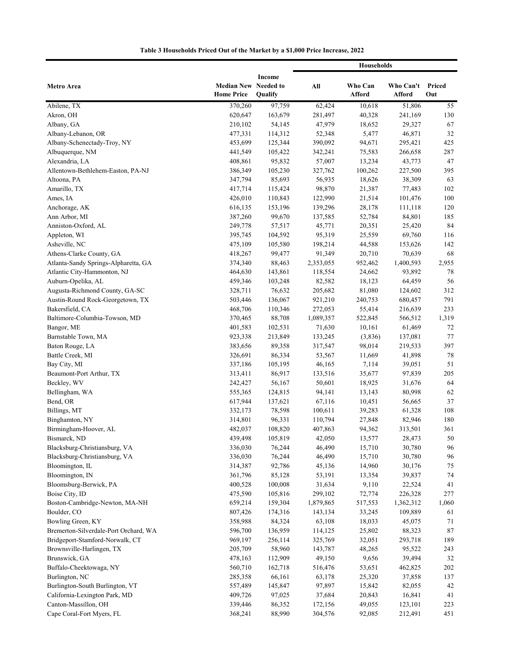|                                                                |                                           |                   | <b>Households</b> |                   |                     |               |
|----------------------------------------------------------------|-------------------------------------------|-------------------|-------------------|-------------------|---------------------|---------------|
| Metro Area                                                     | Median New Needed to<br><b>Home Price</b> | Income<br>Qualify | All               | Who Can<br>Afford | Who Can't<br>Afford | Priced<br>Out |
| Abilene, TX                                                    | 370,260                                   | 97,759            | 62,424            | 10,618            | 51,806              | 55            |
| Akron, OH                                                      | 620,647                                   | 163,679           | 281,497           | 40,328            | 241,169             | 130           |
| Albany, GA                                                     | 210,102                                   | 54,145            | 47,979            | 18,652            | 29,327              | 67            |
| Albany-Lebanon, OR                                             | 477,331                                   | 114,312           | 52,348            | 5,477             | 46,871              | 32            |
| Albany-Schenectady-Troy, NY                                    | 453,699                                   | 125,344           | 390,092           | 94,671            | 295,421             | 425           |
| Albuquerque, NM                                                | 441,549                                   | 105,422           | 342,241           | 75,583            | 266,658             | 287           |
| Alexandria, LA                                                 | 408,861                                   | 95,832            | 57,007            | 13,234            | 43,773              | 47            |
| Allentown-Bethlehem-Easton, PA-NJ                              | 386,349                                   | 105,230           | 327,762           | 100,262           | 227,500             | 395           |
| Altoona, PA                                                    | 347,794                                   | 85,693            | 56,935            | 18,626            | 38,309              | 63            |
| Amarillo, TX                                                   | 417,714                                   | 115,424           | 98,870            | 21,387            | 77,483              | 102           |
| Ames, IA                                                       | 426,010                                   | 110,843           | 122,990           | 21,514            | 101,476             | 100           |
| Anchorage, AK                                                  | 616,135                                   | 153,196           | 139,296           | 28,178            | 111,118             | 120           |
| Ann Arbor, MI                                                  | 387,260                                   | 99,670            | 137,585           | 52,784            | 84,801              | 185           |
| Anniston-Oxford, AL                                            | 249,778                                   | 57,517            | 45,771            | 20,351            | 25,420              | 84            |
| Appleton, WI                                                   | 395,745                                   | 104,592           | 95,319            | 25,559            | 69,760              | 116           |
| Asheville, NC                                                  | 475,109                                   | 105,580           | 198,214           | 44,588            | 153,626             | 142           |
| Athens-Clarke County, GA                                       | 418,267                                   | 99,477            | 91,349            | 20,710            | 70,639              | 68            |
| Atlanta-Sandy Springs-Alpharetta, GA                           | 374,340                                   | 88,463            | 2,353,055         | 952,462           | 1,400,593           | 2,955         |
| Atlantic City-Hammonton, NJ                                    | 464,630                                   | 143,861           | 118,554           | 24,662            | 93,892              | 78            |
| Auburn-Opelika, AL                                             | 459,346                                   | 103,248           | 82,582            | 18,123            | 64,459              | 56            |
| Augusta-Richmond County, GA-SC                                 | 328,711                                   | 76,632            | 205,682           | 81,080            | 124,602             | 312           |
| Austin-Round Rock-Georgetown, TX                               | 503,446                                   | 136,067           | 921,210           | 240,753           | 680,457             | 791           |
| Bakersfield, CA                                                | 468,706                                   | 110,346           | 272,053           | 55,414            | 216,639             | 233           |
| Baltimore-Columbia-Towson, MD                                  | 370,465                                   | 88,708            | 1,089,357         | 522,845           | 566,512             | 1,319         |
| Bangor, ME                                                     | 401,583                                   | 102,531           | 71,630            | 10,161            | 61,469              | 72            |
| Barnstable Town, MA                                            | 923,338                                   | 213,849           | 133,245           | (3,836)           | 137,081             | 77            |
| Baton Rouge, LA                                                | 383,656                                   | 89,358            | 317,547           | 98,014            | 219,533             | 397           |
| Battle Creek, MI                                               | 326,691                                   | 86,334            | 53,567            | 11,669            | 41,898              | 78            |
| Bay City, MI                                                   | 337,186                                   | 105,195           | 46,165            | 7,114             | 39,051              | 51            |
| Beaumont-Port Arthur, TX                                       | 313,411                                   | 86,917            | 133,516           | 35,677            | 97,839              | 205           |
| Beckley, WV                                                    | 242,427                                   | 56,167            | 50,601            | 18,925            | 31,676              | 64            |
| Bellingham, WA                                                 | 555,365                                   | 124,815           | 94,141            | 13,143            | 80,998              | 62            |
| Bend, OR                                                       | 617,944                                   | 137,621           | 67,116            | 10,451            | 56,665              | 37            |
| Billings, MT                                                   | 332,173                                   | 78,598            | 100,611           | 39,283            | 61,328              | 108           |
| Binghamton, NY                                                 | 314,801                                   | 96,331            | 110,794           | 27,848            | 82,946              | 180           |
| Birmingham-Hoover, AL                                          | 482,037                                   | 108,820           | 407,863           | 94,362            | 313,501             | 361           |
| Bismarck, ND                                                   | 439,498                                   | 105,819           | 42,050            | 13,577            | 28,473              | $50\,$        |
|                                                                | 336,030                                   | 76,244            | 46,490            | 15,710            | 30,780              | 96            |
| Blacksburg-Christiansburg, VA<br>Blacksburg-Christiansburg, VA | 336,030                                   | 76,244            | 46,490            | 15,710            | 30,780              | 96            |
| Bloomington, IL                                                | 314,387                                   | 92,786            | 45,136            | 14,960            | 30,176              | 75            |
| Bloomington, IN                                                | 361,796                                   | 85,128            | 53,191            |                   | 39,837              | 74            |
| Bloomsburg-Berwick, PA                                         |                                           |                   |                   | 13,354            |                     |               |
|                                                                | 400,528                                   | 100,008           | 31,634<br>299,102 | 9,110             | 22,524              | 41<br>277     |
| Boise City, ID                                                 | 475,590                                   | 105,816           | 1,879,865         | 72,774            | 226,328             |               |
| Boston-Cambridge-Newton, MA-NH                                 | 659,214                                   | 159,304           |                   | 517,553           | 1,362,312           | 1,060         |
| Boulder, CO                                                    | 807,426                                   | 174,316           | 143,134           | 33,245            | 109,889             | 61            |
| Bowling Green, KY                                              | 358,988                                   | 84,324            | 63,108            | 18,033            | 45,075              | 71            |
| Bremerton-Silverdale-Port Orchard, WA                          | 596,700                                   | 136,959           | 114,125           | 25,802            | 88,323              | $87\,$        |
| Bridgeport-Stamford-Norwalk, CT                                | 969,197                                   | 256,114           | 325,769           | 32,051            | 293,718             | 189           |
| Brownsville-Harlingen, TX                                      | 205,709                                   | 58,960            | 143,787           | 48,265            | 95,522              | 243           |
| Brunswick, GA                                                  | 478,163                                   | 112,909           | 49,150            | 9,656             | 39,494              | 32            |
| Buffalo-Cheektowaga, NY                                        | 560,710                                   | 162,718           | 516,476           | 53,651            | 462,825             | 202           |
| Burlington, NC                                                 | 285,358                                   | 66,161            | 63,178            | 25,320            | 37,858              | 137           |
| Burlington-South Burlington, VT                                | 557,489                                   | 145,847           | 97,897            | 15,842            | 82,055              | 42            |
| California-Lexington Park, MD                                  | 409,726                                   | 97,025            | 37,684            | 20,843            | 16,841              | 41            |
| Canton-Massillon, OH                                           | 339,446                                   | 86,352            | 172,156           | 49,055            | 123,101             | 223           |
| Cape Coral-Fort Myers, FL                                      | 368,241                                   | 88,990            | 304,576           | 92,085            | 212,491             | 451           |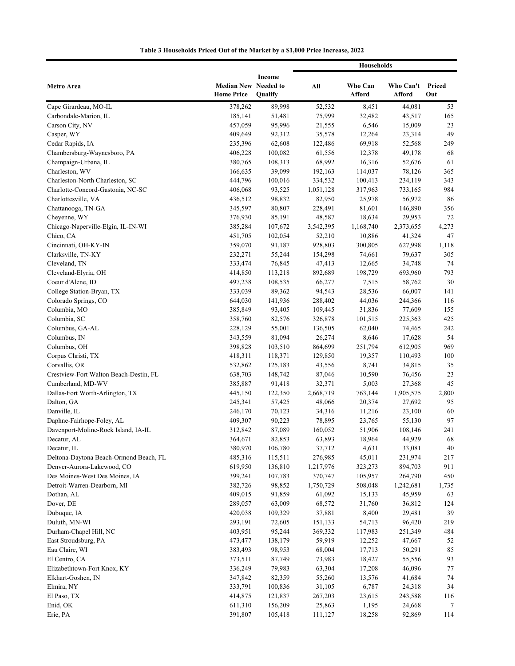|                                                              |                                           |                    | <b>Households</b>    |                    |                     |               |
|--------------------------------------------------------------|-------------------------------------------|--------------------|----------------------|--------------------|---------------------|---------------|
| Metro Area                                                   | Median New Needed to<br><b>Home Price</b> | Income<br>Qualify  | All                  | Who Can<br>Afford  | Who Can't<br>Afford | Priced<br>Out |
| Cape Girardeau, MO-IL                                        | 378,262                                   | 89,998             | 52,532               | 8,451              | 44,081              | 53            |
| Carbondale-Marion, IL                                        | 185,141                                   | 51,481             | 75,999               | 32,482             | 43,517              | 165           |
| Carson City, NV                                              | 457,059                                   | 95,996             | 21,555               | 6,546              | 15,009              | 23            |
| Casper, WY                                                   | 409,649                                   | 92,312             | 35,578               | 12,264             | 23,314              | 49            |
| Cedar Rapids, IA                                             | 235,396                                   | 62,608             | 122,486              | 69,918             | 52,568              | 249           |
| Chambersburg-Waynesboro, PA                                  | 406,228                                   | 100,082            | 61,556               | 12,378             | 49,178              | 68            |
| Champaign-Urbana, IL                                         | 380,765                                   | 108,313            | 68,992               | 16,316             | 52,676              | 61            |
| Charleston, WV                                               | 166,635                                   | 39,099             | 192,163              | 114,037            | 78,126              | 365           |
| Charleston-North Charleston, SC                              | 444,796                                   | 100,016            | 334,532              | 100,413            | 234,119             | 343           |
| Charlotte-Concord-Gastonia, NC-SC                            | 406,068                                   | 93,525             | 1,051,128            | 317,963            | 733,165             | 984           |
| Charlottesville, VA                                          | 436,512                                   | 98,832             | 82,950               | 25,978             | 56,972              | 86            |
| Chattanooga, TN-GA                                           | 345,597                                   | 80,807             | 228,491              | 81,601             | 146,890             | 356           |
| Cheyenne, WY                                                 | 376,930                                   | 85,191             | 48,587               | 18,634             | 29,953              | 72            |
| Chicago-Naperville-Elgin, IL-IN-WI                           | 385,284                                   | 107,672            | 3,542,395            | 1,168,740          | 2,373,655           | 4,273         |
| Chico, CA                                                    | 451,705                                   | 102,054            | 52,210               | 10,886             | 41,324              | 47            |
| Cincinnati, OH-KY-IN                                         | 359,070                                   | 91,187             | 928,803              | 300,805            | 627,998             | 1,118         |
| Clarksville, TN-KY                                           | 232,271                                   | 55,244             | 154,298              | 74,661             | 79,637              | 305           |
| Cleveland, TN                                                | 333,474                                   | 76,845             | 47,413               | 12,665             | 34,748              | 74            |
| Cleveland-Elyria, OH                                         | 414,850                                   | 113,218            | 892,689              | 198,729            | 693,960             | 793           |
| Coeur d'Alene, ID                                            | 497,238                                   | 108,535            | 66,277               | 7,515              | 58,762              | 30            |
| College Station-Bryan, TX                                    | 333,039                                   | 89,362             | 94,543               | 28,536             | 66,007              | 141           |
| Colorado Springs, CO                                         | 644,030                                   | 141,936            | 288,402              | 44,036             | 244,366             | 116           |
| Columbia, MO                                                 | 385,849                                   | 93,405             | 109,445              | 31,836             | 77,609              | 155           |
| Columbia, SC                                                 | 358,760                                   | 82,576             | 326,878              | 101,515            | 225,363             | 425           |
| Columbus, GA-AL                                              | 228,129                                   | 55,001             | 136,505              | 62,040             | 74,465              | 242           |
| Columbus, IN                                                 | 343,559                                   | 81,094             | 26,274               | 8,646              | 17,628              | 54            |
| Columbus, OH                                                 | 398,828                                   | 103,510            | 864,699              | 251,794            | 612,905             | 969           |
| Corpus Christi, TX                                           | 418,311                                   | 118,371            | 129,850              | 19,357             | 110,493             | 100           |
| Corvallis, OR                                                | 532,862                                   | 125,183            | 43,556               | 8,741              | 34,815              | 35            |
| Crestview-Fort Walton Beach-Destin, FL                       | 638,703                                   | 148,742            | 87,046               | 10,590             | 76,456              | 23            |
| Cumberland, MD-WV                                            | 385,887                                   | 91,418             | 32,371               | 5,003              | 27,368              | 45            |
| Dallas-Fort Worth-Arlington, TX                              | 445,150                                   | 122,350            | 2,668,719            | 763,144            | 1,905,575           | 2,800         |
| Dalton, GA                                                   | 245,341                                   | 57,425             | 48,066               | 20,374             | 27,692              | 95            |
| Danville, IL                                                 | 246,170                                   | 70,123             | 34,316               | 11,216             | 23,100              | 60            |
| Daphne-Fairhope-Foley, AL                                    | 409,307                                   | 90,223             | 78,895               | 23,765             | 55,130              | 97            |
| Davenport-Moline-Rock Island, IA-IL                          | 312,842                                   | 87,089             | 160,052              | 51,906             | 108,146             | 241           |
| Decatur, AL                                                  | 364,671                                   | 82,853             | 63,893               | 18,964             | 44,929              | 68            |
| Decatur, IL<br>Deltona-Daytona Beach-Ormond Beach, FL        | 380,970                                   | 106,780            | 37,712<br>276,985    | 4,631              | 33,081              | 40            |
|                                                              | 485,316                                   | 115,511            |                      | 45,011             | 231,974             | 217<br>911    |
| Denver-Aurora-Lakewood, CO<br>Des Moines-West Des Moines, IA | 619,950<br>399,241                        | 136,810<br>107,783 | 1,217,976<br>370,747 | 323,273<br>105,957 | 894,703<br>264,790  | 450           |
| Detroit-Warren-Dearborn, MI                                  | 382,726                                   | 98,852             | 1,750,729            | 508,048            | 1,242,681           |               |
| Dothan, AL                                                   | 409,015                                   | 91,859             | 61,092               | 15,133             | 45,959              | 1,735<br>63   |
| Dover, DE                                                    | 289,057                                   | 63,009             | 68,572               | 31,760             | 36,812              | 124           |
| Dubuque, IA                                                  | 420,038                                   | 109,329            | 37,881               | 8,400              | 29,481              | 39            |
| Duluth, MN-WI                                                | 293,191                                   | 72,605             | 151,133              | 54,713             | 96,420              | 219           |
| Durham-Chapel Hill, NC                                       | 403,951                                   | 95,244             | 369,332              | 117,983            | 251,349             | 484           |
| East Stroudsburg, PA                                         | 473,477                                   | 138,179            | 59,919               | 12,252             | 47,667              | 52            |
| Eau Claire, WI                                               | 383,493                                   | 98,953             | 68,004               | 17,713             | 50,291              | 85            |
| El Centro, CA                                                | 373,511                                   | 87,749             | 73,983               | 18,427             | 55,556              | 93            |
| Elizabethtown-Fort Knox, KY                                  | 336,249                                   | 79,983             | 63,304               | 17,208             | 46,096              | 77            |
| Elkhart-Goshen, IN                                           | 347,842                                   | 82,359             | 55,260               | 13,576             | 41,684              | 74            |
| Elmira, NY                                                   | 333,791                                   | 100,836            | 31,105               | 6,787              | 24,318              | 34            |
| El Paso, TX                                                  | 414,875                                   | 121,837            | 267,203              | 23,615             | 243,588             | 116           |
| Enid, OK                                                     | 611,310                                   | 156,209            | 25,863               | 1,195              | 24,668              | 7             |
| Erie, PA                                                     | 391,807                                   | 105,418            | 111,127              | 18,258             | 92,869              | 114           |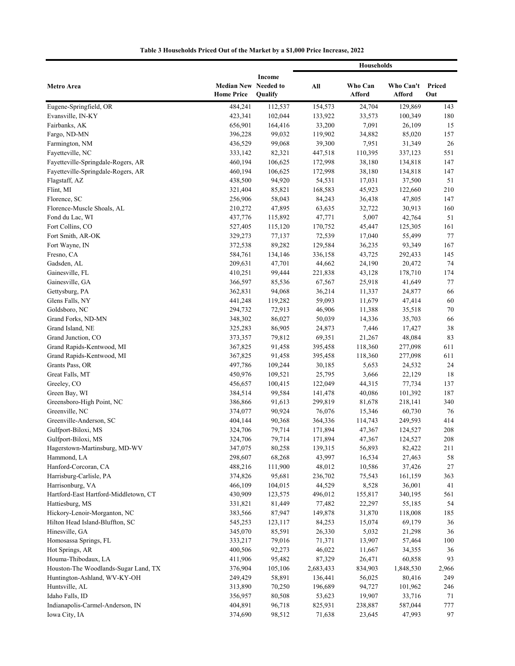|                                       |                                           |                   | Households |                   |                     |               |
|---------------------------------------|-------------------------------------------|-------------------|------------|-------------------|---------------------|---------------|
| Metro Area                            | Median New Needed to<br><b>Home Price</b> | Income<br>Qualify | All        | Who Can<br>Afford | Who Can't<br>Afford | Priced<br>Out |
| Eugene-Springfield, OR                | 484,241                                   | 112,537           | 154,573    | 24,704            | 129,869             | 143           |
| Evansville, IN-KY                     | 423,341                                   | 102,044           | 133,922    | 33,573            | 100,349             | 180           |
| Fairbanks, AK                         | 656,901                                   | 164,416           | 33,200     | 7,091             | 26,109              | 15            |
| Fargo, ND-MN                          | 396,228                                   | 99,032            | 119,902    | 34,882            | 85,020              | 157           |
| Farmington, NM                        | 436,529                                   | 99,068            | 39,300     | 7,951             | 31,349              | 26            |
| Fayetteville, NC                      | 333,142                                   | 82,321            | 447,518    | 110,395           | 337,123             | 551           |
| Fayetteville-Springdale-Rogers, AR    | 460,194                                   | 106,625           | 172,998    | 38,180            | 134,818             | 147           |
| Fayetteville-Springdale-Rogers, AR    | 460,194                                   | 106,625           | 172,998    | 38,180            | 134,818             | 147           |
| Flagstaff, AZ                         | 438,500                                   | 94,920            | 54,531     | 17,031            | 37,500              | 51            |
| Flint, MI                             | 321,404                                   | 85,821            | 168,583    | 45,923            | 122,660             | 210           |
| Florence, SC                          | 256,906                                   | 58,043            | 84,243     | 36,438            | 47,805              | 147           |
| Florence-Muscle Shoals, AL            | 210,272                                   | 47,895            | 63,635     | 32,722            | 30,913              | 160           |
| Fond du Lac, WI                       | 437,776                                   | 115,892           | 47,771     | 5,007             | 42,764              | 51            |
| Fort Collins, CO                      | 527,405                                   | 115,120           | 170,752    | 45,447            | 125,305             | 161           |
| Fort Smith, AR-OK                     | 329,273                                   | 77,137            | 72,539     | 17,040            | 55,499              | 77            |
| Fort Wayne, IN                        | 372,538                                   | 89,282            | 129,584    | 36,235            | 93,349              | 167           |
| Fresno, CA                            | 584,761                                   | 134,146           | 336,158    | 43,725            | 292,433             | 145           |
| Gadsden, AL                           | 209,631                                   | 47,701            | 44,662     | 24,190            | 20,472              | 74            |
| Gainesville, FL                       | 410,251                                   | 99,444            | 221,838    | 43,128            | 178,710             | 174           |
| Gainesville, GA                       | 366,597                                   | 85,536            | 67,567     | 25,918            | 41,649              | 77            |
| Gettysburg, PA                        | 362,831                                   | 94,068            | 36,214     | 11,337            | 24,877              | 66            |
| Glens Falls, NY                       | 441,248                                   | 119,282           | 59,093     | 11,679            | 47,414              | 60            |
| Goldsboro, NC                         | 294,732                                   | 72,913            | 46,906     | 11,388            | 35,518              | 70            |
| Grand Forks, ND-MN                    | 348,302                                   | 86,027            | 50,039     | 14,336            | 35,703              | 66            |
| Grand Island, NE                      | 325,283                                   | 86,905            | 24,873     | 7,446             | 17,427              | 38            |
| Grand Junction, CO                    | 373,357                                   | 79,812            | 69,351     | 21,267            | 48,084              | 83            |
| Grand Rapids-Kentwood, MI             | 367,825                                   | 91,458            | 395,458    | 118,360           | 277,098             | 611           |
| Grand Rapids-Kentwood, MI             | 367,825                                   | 91,458            | 395,458    | 118,360           | 277,098             | 611           |
| Grants Pass, OR                       | 497,786                                   | 109,244           | 30,185     | 5,653             | 24,532              | 24            |
| Great Falls, MT                       | 450,976                                   | 109,521           | 25,795     | 3,666             | 22,129              | 18            |
| Greeley, CO                           | 456,657                                   | 100,415           | 122,049    | 44,315            | 77,734              | 137           |
| Green Bay, WI                         | 384,514                                   | 99,584            | 141,478    | 40,086            | 101,392             | 187           |
| Greensboro-High Point, NC             | 386,866                                   | 91,613            | 299,819    | 81,678            | 218,141             | 340           |
| Greenville, NC                        | 374,077                                   | 90,924            | 76,076     | 15,346            | 60,730              | 76            |
| Greenville-Anderson, SC               | 404,144                                   | 90,368            | 364,336    | 114,743           | 249,593             | 414           |
| Gulfport-Biloxi, MS                   | 324,706                                   | 79,714            | 171,894    | 47,367            | 124,527             | 208           |
| Gulfport-Biloxi, MS                   | 324,706                                   | 79,714            | 171,894    | 47,367            | 124,527             | $208\,$       |
| Hagerstown-Martinsburg, MD-WV         | 347,075                                   | 80,258            | 139,315    | 56,893            | 82,422              | 211           |
| Hammond, LA                           | 298,607                                   | 68,268            | 43,997     | 16,534            | 27,463              | 58            |
| Hanford-Corcoran, CA                  | 488,216                                   | 111,900           | 48,012     | 10,586            | 37,426              | 27            |
| Harrisburg-Carlisle, PA               | 374,826                                   | 95,681            | 236,702    | 75,543            | 161,159             | 363           |
| Harrisonburg, VA                      | 466,109                                   | 104,015           | 44,529     | 8,528             | 36,001              | 41            |
| Hartford-East Hartford-Middletown, CT | 430,909                                   | 123,575           | 496,012    | 155,817           | 340,195             | 561           |
| Hattiesburg, MS                       | 331,821                                   | 81,449            | 77,482     | 22,297            | 55,185              | 54            |
| Hickory-Lenoir-Morganton, NC          | 383,566                                   | 87,947            | 149,878    | 31,870            | 118,008             | 185           |
| Hilton Head Island-Bluffton, SC       | 545,253                                   | 123,117           | 84,253     | 15,074            | 69,179              | 36            |
| Hinesville, GA                        | 345,070                                   | 85,591            | 26,330     | 5,032             | 21,298              | 36            |
| Homosassa Springs, FL                 | 333,217                                   | 79,016            | 71,371     | 13,907            | 57,464              | 100           |
| Hot Springs, AR                       | 400,506                                   | 92,273            | 46,022     | 11,667            | 34,355              | 36            |
| Houma-Thibodaux, LA                   | 411,906                                   | 95,482            | 87,329     | 26,471            | 60,858              | 93            |
| Houston-The Woodlands-Sugar Land, TX  | 376,904                                   | 105,106           | 2,683,433  | 834,903           | 1,848,530           | 2,966         |
| Huntington-Ashland, WV-KY-OH          | 249,429                                   | 58,891            | 136,441    | 56,025            | 80,416              | 249           |
| Huntsville, AL                        | 313,890                                   | 70,250            | 196,689    | 94,727            | 101,962             | 246           |
| Idaho Falls, ID                       | 356,957                                   | 80,508            | 53,623     | 19,907            | 33,716              | 71            |
| Indianapolis-Carmel-Anderson, IN      | 404,891                                   | 96,718            | 825,931    | 238,887           | 587,044             | 777           |
| Iowa City, IA                         | 374,690                                   | 98,512            | 71,638     | 23,645            | 47,993              | 97            |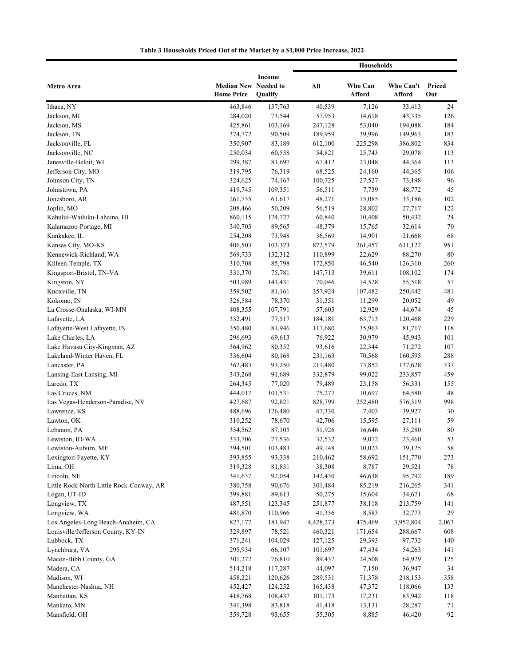|                                          |                                           |                   | <b>Households</b> |                   |                     |               |
|------------------------------------------|-------------------------------------------|-------------------|-------------------|-------------------|---------------------|---------------|
| Metro Area                               | Median New Needed to<br><b>Home Price</b> | Income<br>Qualify | All               | Who Can<br>Afford | Who Can't<br>Afford | Priced<br>Out |
| Ithaca, NY                               | 463,846                                   | 137,763           | 40,539            | 7,126             | 33,413              | 24            |
| Jackson, MI                              | 284,020                                   | 73,544            | 57,953            | 14,618            | 43,335              | 126           |
| Jackson, MS                              | 425,861                                   | 103,169           | 247,128           | 53,040            | 194,088             | 184           |
| Jackson, TN                              | 374,772                                   | 90,509            | 189,959           | 39,996            | 149,963             | 183           |
| Jacksonville, FL                         | 350,907                                   | 83,189            | 612,100           | 225,298           | 386,802             | 834           |
| Jacksonville, NC                         | 250,034                                   | 60,538            | 54,821            | 25,743            | 29,078              | 113           |
| Janesville-Beloit, WI                    | 299,387                                   | 81,697            | 67,412            | 23,048            | 44,364              | 113           |
| Jefferson City, MO                       | 319,795                                   | 76,319            | 68,525            | 24,160            | 44,365              | 106           |
| Johnson City, TN                         | 324,625                                   | 74,167            | 100,725           | 27,527            | 73,198              | 96            |
| Johnstown, PA                            | 419,745                                   | 109,351           | 56,511            | 7,739             | 48,772              | 45            |
| Jonesboro, AR                            | 261,735                                   | 61,617            | 48,271            | 15,085            | 33,186              | 102           |
| Joplin, MO                               | 208,466                                   | 50,209            | 56,519            | 28,802            | 27,717              | 122           |
| Kahului-Wailuku-Lahaina, HI              | 860,115                                   | 174,727           | 60,840            | 10,408            | 50,432              | 24            |
| Kalamazoo-Portage, MI                    | 340,703                                   | 89,565            | 48,379            | 15,765            | 32,614              | 70            |
| Kankakee, IL                             | 254,208                                   | 73,948            | 36,569            | 14,901            | 21,668              | 68            |
| Kansas City, MO-KS                       | 406,503                                   | 103,323           | 872,579           | 261,457           | 611,122             | 951           |
| Kennewick-Richland, WA                   | 569,733                                   | 132,312           | 110,899           | 22,629            | 88,270              | 80            |
| Killeen-Temple, TX                       | 310,708                                   | 85,798            | 172,850           | 46,540            | 126,310             | 260           |
| Kingsport-Bristol, TN-VA                 | 331,370                                   | 75,781            | 147,713           | 39,611            | 108,102             | 174           |
| Kingston, NY                             | 503,989                                   | 141,431           | 70,046            | 14,528            | 55,518              | 57            |
| Knoxville, TN                            | 359,502                                   | 81,161            | 357,924           | 107,482           | 250,442             | 481           |
| Kokomo, IN                               | 326,584                                   | 78,370            | 31,351            | 11,299            | 20,052              | 49            |
| La Crosse-Onalaska, WI-MN                | 408,355                                   | 107,791           | 57,603            | 12,929            | 44,674              | 45            |
| Lafayette, LA                            | 332,491                                   | 77,517            | 184,181           | 63,713            | 120,468             | 229           |
| Lafayette-West Lafayette, IN             | 350,480                                   | 81,946            | 117,680           | 35,963            | 81,717              | 118           |
| Lake Charles, LA                         | 296,693                                   | 69,613            | 76,922            | 30,979            | 45,943              | 101           |
| Lake Havasu City-Kingman, AZ             | 364,962                                   | 80,352            | 93,616            | 22,344            | 71,272              | 107           |
| Lakeland-Winter Haven, FL                | 336,604                                   | 80,168            | 231,163           | 70,568            | 160,595             | 288           |
| Lancaster, PA                            | 362,483                                   | 93,250            | 211,480           | 73,852            | 137,628             | 337           |
| Lansing-East Lansing, MI                 | 343,268                                   | 91,689            | 332,879           | 99,022            | 233,857             | 459           |
| Laredo, TX                               | 264,345                                   | 77,020            | 79,489            | 23,158            | 56,331              | 155           |
| Las Cruces, NM                           | 444,017                                   | 101,531           | 75,277            | 10,697            | 64,580              | 48            |
| Las Vegas-Henderson-Paradise, NV         | 427,687                                   | 92,821            | 828,799           | 252,480           | 576,319             | 998           |
| Lawrence, KS                             | 488,696                                   | 126,480           | 47,330            | 7,403             | 39,927              | 30            |
| Lawton, OK                               | 310,252                                   | 78,670            | 42,706            | 15,595            | 27,111              | 59            |
| Lebanon, PA<br>Lewiston, ID-WA           | 334,562<br>333,706                        | 87,105            | 51,926<br>32,532  | 16,646<br>9,072   | 35,280<br>23,460    | 80<br>53      |
| Lewiston-Auburn, ME                      | 394,501                                   | 77,536<br>103,483 | 49,148            | 10,023            | 39,125              | 58            |
| Lexington-Fayette, KY                    | 393,855                                   | 93,338            | 210,462           | 58,692            | 151,770             | 273           |
| Lima, OH                                 | 319,328                                   | 81,831            | 38,308            | 8,787             | 29,521              | 78            |
| Lincoln, NE                              | 341,637                                   | 92,054            | 142,430           | 46,638            | 95,792              | 189           |
| Little Rock-North Little Rock-Conway, AR | 380,758                                   | 90,676            | 301,484           | 85,219            | 216,265             | 341           |
| Logan, UT-ID                             | 399,881                                   | 89,613            | 50,275            | 15,604            | 34,671              | 68            |
| Longview, TX                             | 487,551                                   | 123,345           | 251,877           | 38,118            | 213,759             | 141           |
| Longview, WA                             | 481,870                                   | 110,966           | 41,356            | 8,583             | 32,773              | 29            |
| Los Angeles-Long Beach-Anaheim, CA       | 827,177                                   | 181,947           | 4,428,273         | 475,469           | 3,952,804           | 2,063         |
| Louisville/Jefferson County, KY-IN       | 329,897                                   | 78,521            | 460,321           | 171,654           | 288,667             | 608           |
| Lubbock, TX                              | 371,241                                   | 104,029           | 127,125           | 29,393            | 97,732              | 140           |
| Lynchburg, VA                            | 295,934                                   | 66,107            | 101,697           | 47,434            | 54,263              | 141           |
| Macon-Bibb County, GA                    | 301,272                                   | 76,810            | 89,437            | 24,508            | 64,929              | 125           |
| Madera, CA                               | 514,218                                   | 117,287           | 44,097            | 7,150             | 36,947              | 34            |
| Madison, WI                              | 458,221                                   | 120,626           | 289,531           | 71,378            | 218,153             | 358           |
| Manchester-Nashua, NH                    | 452,427                                   | 124,252           | 165,438           | 47,372            | 118,066             | 133           |
| Manhattan, KS                            | 418,768                                   | 108,437           | 101,173           | 17,231            | 83,942              | 118           |
| Mankato, MN                              | 341,398                                   | 83,818            | 41,418            | 13,131            | 28,287              | 71            |
| Mansfield, OH                            | 359,728                                   | 93,655            | 55,305            | 8,885             | 46,420              | 92            |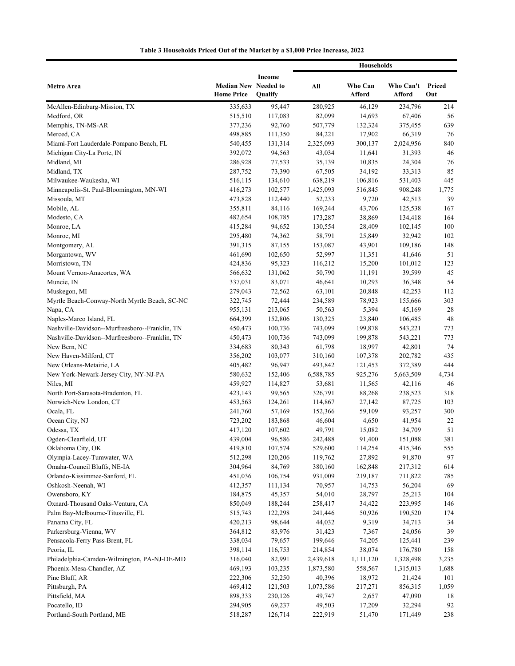|                                                                                                  |                                                  |                   | <b>Households</b> |                   |                     |               |
|--------------------------------------------------------------------------------------------------|--------------------------------------------------|-------------------|-------------------|-------------------|---------------------|---------------|
| Metro Area                                                                                       | <b>Median New Needed to</b><br><b>Home Price</b> | Income<br>Qualify | All               | Who Can<br>Afford | Who Can't<br>Afford | Priced<br>Out |
| McAllen-Edinburg-Mission, TX                                                                     | 335,633                                          | 95,447            | 280,925           | 46,129            | 234,796             | 214           |
| Medford, OR                                                                                      | 515,510                                          | 117,083           | 82,099            | 14,693            | 67,406              | 56            |
| Memphis, TN-MS-AR                                                                                | 377,236                                          | 92,760            | 507,779           | 132,324           | 375,455             | 639           |
| Merced, CA                                                                                       | 498,885                                          | 111,350           | 84,221            | 17,902            | 66,319              | 76            |
| Miami-Fort Lauderdale-Pompano Beach, FL                                                          | 540,455                                          | 131,314           | 2,325,093         | 300,137           | 2,024,956           | 840           |
| Michigan City-La Porte, IN                                                                       | 392,072                                          | 94,563            | 43,034            | 11,641            | 31,393              | 46            |
| Midland, MI                                                                                      | 286,928                                          | 77,533            | 35,139            | 10,835            | 24,304              | 76            |
| Midland, TX                                                                                      | 287,752                                          | 73,390            | 67,505            | 34,192            | 33,313              | 85            |
| Milwaukee-Waukesha, WI                                                                           | 516,115                                          | 134,610           | 638,219           | 106,816           | 531,403             | 445           |
| Minneapolis-St. Paul-Bloomington, MN-WI                                                          | 416,273                                          | 102,577           | 1,425,093         | 516,845           | 908,248             | 1,775         |
| Missoula, MT                                                                                     | 473,828                                          | 112,440           | 52,233            | 9,720             | 42,513              | 39            |
| Mobile, AL                                                                                       | 355,811                                          | 84,116            | 169,244           | 43,706            | 125,538             | 167           |
| Modesto, CA                                                                                      | 482,654                                          | 108,785           | 173,287           | 38,869            | 134,418             | 164           |
| Monroe, LA                                                                                       | 415,284                                          | 94,652            | 130,554           | 28,409            | 102,145             | 100           |
| Monroe, MI                                                                                       | 295,480                                          | 74,362            | 58,791            | 25,849            | 32,942              | 102           |
| Montgomery, AL                                                                                   | 391,315                                          | 87,155            | 153,087           | 43,901            | 109,186             | 148           |
| Morgantown, WV                                                                                   | 461,690                                          | 102,650           | 52,997            | 11,351            | 41,646              | 51            |
| Morristown, TN                                                                                   | 424,836                                          | 95,323            | 116,212           | 15,200            | 101,012             | 123           |
| Mount Vernon-Anacortes, WA                                                                       | 566,632                                          | 131,062           | 50,790            | 11,191            | 39,599              | 45            |
| Muncie, IN                                                                                       | 337,031                                          | 83,071            | 46,641            | 10,293            | 36,348              | 54            |
| Muskegon, MI                                                                                     | 279,043                                          | 72,562            | 63,101            | 20,848            | 42,253              | 112           |
| Myrtle Beach-Conway-North Myrtle Beach, SC-NC                                                    | 322,745                                          | 72,444            | 234,589           | 78,923            | 155,666             | 303           |
| Napa, CA                                                                                         | 955,131                                          | 213,065           | 50,563            | 5,394             | 45,169              | 28            |
| Naples-Marco Island, FL                                                                          | 664,399                                          | 152,806           | 130,325           | 23,840            | 106,485             | 48            |
| Nashville-Davidson--Murfreesboro--Franklin, TN<br>Nashville-Davidson--Murfreesboro--Franklin, TN | 450,473                                          | 100,736           | 743,099           | 199,878           | 543,221             | 773           |
| New Bern, NC                                                                                     | 450,473<br>334,683                               | 100,736<br>80,343 | 743,099<br>61,798 | 199,878<br>18,997 | 543,221<br>42,801   | 773<br>74     |
| New Haven-Milford, CT                                                                            | 356,202                                          | 103,077           | 310,160           | 107,378           | 202,782             | 435           |
| New Orleans-Metairie, LA                                                                         | 405,482                                          | 96,947            | 493,842           | 121,453           | 372,389             | 444           |
| New York-Newark-Jersey City, NY-NJ-PA                                                            | 580,632                                          | 152,406           | 6,588,785         | 925,276           | 5,663,509           | 4,734         |
| Niles, MI                                                                                        | 459,927                                          | 114,827           | 53,681            | 11,565            | 42,116              | 46            |
| North Port-Sarasota-Bradenton, FL                                                                | 423,143                                          | 99,565            | 326,791           | 88,268            | 238,523             | 318           |
| Norwich-New London, CT                                                                           | 453,563                                          | 124,261           | 114,867           | 27,142            | 87,725              | 103           |
| Ocala, FL                                                                                        | 241,760                                          | 57,169            | 152,366           | 59,109            | 93,257              | 300           |
| Ocean City, NJ                                                                                   | 723,202                                          | 183,868           | 46,604            | 4,650             | 41,954              | 22            |
| Odessa, TX                                                                                       | 417,120                                          | 107,602           | 49,791            | 15,082            | 34,709              | 51            |
| Ogden-Clearfield, UT                                                                             | 439,004                                          | 96,586            | 242,488           | 91,400            | 151,088             | 381           |
| Oklahoma City, OK                                                                                | 419,810                                          | 107,574           | 529,600           | 114,254           | 415,346             | 555           |
| Olympia-Lacey-Tumwater, WA                                                                       | 512,298                                          | 120,206           | 119,762           | 27,892            | 91,870              | 97            |
| Omaha-Council Bluffs, NE-IA                                                                      | 304,964                                          | 84,769            | 380,160           | 162,848           | 217,312             | 614           |
| Orlando-Kissimmee-Sanford, FL                                                                    | 451,036                                          | 106,754           | 931,009           | 219,187           | 711,822             | 785           |
| Oshkosh-Neenah, WI                                                                               | 412,357                                          | 111,134           | 70,957            | 14,753            | 56,204              | 69            |
| Owensboro, KY                                                                                    | 184,875                                          | 45,357            | 54,010            | 28,797            | 25,213              | 104           |
| Oxnard-Thousand Oaks-Ventura, CA                                                                 | 850,049                                          | 188,244           | 258,417           | 34,422            | 223,995             | 146           |
| Palm Bay-Melbourne-Titusville, FL                                                                | 515,743                                          | 122,298           | 241,446           | 50,926            | 190,520             | 174           |
| Panama City, FL                                                                                  | 420,213                                          | 98,644            | 44,032            | 9,319             | 34,713              | 34            |
| Parkersburg-Vienna, WV                                                                           | 364,812                                          | 83,976            | 31,423            | 7,367             | 24,056              | 39            |
| Pensacola-Ferry Pass-Brent, FL                                                                   | 338,034                                          | 79,657            | 199,646           | 74,205            | 125,441             | 239           |
| Peoria, IL                                                                                       | 398,114                                          | 116,753           | 214,854           | 38,074            | 176,780             | 158           |
| Philadelphia-Camden-Wilmington, PA-NJ-DE-MD                                                      | 316,040                                          | 82,991            | 2,439,618         | 1,111,120         | 1,328,498           | 3,235         |
| Phoenix-Mesa-Chandler, AZ                                                                        | 469,193                                          | 103,235           | 1,873,580         | 558,567           | 1,315,013           | 1,688         |
| Pine Bluff, AR                                                                                   | 222,306                                          | 52,250            | 40,396            | 18,972            | 21,424              | 101           |
| Pittsburgh, PA                                                                                   | 469,412                                          | 121,503           | 1,073,586         | 217,271           | 856,315             | 1,059         |
| Pittsfield, MA                                                                                   | 898,333                                          | 230,126           | 49,747            | 2,657             | 47,090              | 18            |
| Pocatello, ID<br>Portland-South Portland, ME                                                     | 294,905<br>518,287                               | 69,237<br>126,714 | 49,503<br>222,919 | 17,209<br>51,470  | 32,294<br>171,449   | 92<br>238     |
|                                                                                                  |                                                  |                   |                   |                   |                     |               |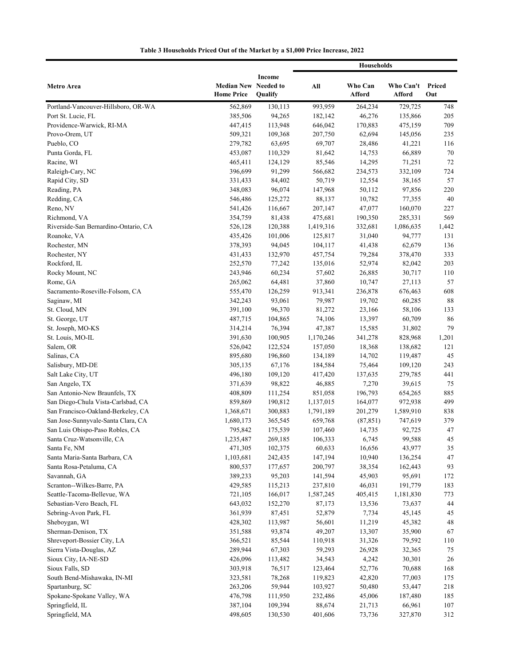|                                                                          |                                                  |                    | <b>Households</b>    |                      |                      |               |
|--------------------------------------------------------------------------|--------------------------------------------------|--------------------|----------------------|----------------------|----------------------|---------------|
| Metro Area                                                               | <b>Median New Needed to</b><br><b>Home Price</b> | Income<br>Qualify  | All                  | Who Can<br>Afford    | Who Can't<br>Afford  | Priced<br>Out |
| Portland-Vancouver-Hillsboro, OR-WA                                      | 562,869                                          | 130,113            | 993,959              | 264,234              | 729,725              | 748           |
| Port St. Lucie, FL                                                       | 385,506                                          | 94,265             | 182,142              | 46,276               | 135,866              | 205           |
| Providence-Warwick, RI-MA                                                | 447,415                                          | 113,948            | 646,042              | 170,883              | 475,159              | 709           |
| Provo-Orem, UT                                                           | 509,321                                          | 109,368            | 207,750              | 62,694               | 145,056              | 235           |
| Pueblo, CO                                                               | 279,782                                          | 63,695             | 69,707               | 28,486               | 41,221               | 116           |
| Punta Gorda, FL                                                          | 453,087                                          | 110,329            | 81,642               | 14,753               | 66,889               | 70            |
| Racine, WI                                                               | 465,411                                          | 124,129            | 85,546               | 14,295               | 71,251               | 72            |
| Raleigh-Cary, NC                                                         | 396,699                                          | 91,299             | 566,682              | 234,573              | 332,109              | 724           |
| Rapid City, SD                                                           | 331,433                                          | 84,402             | 50,719               | 12,554               | 38,165               | 57            |
| Reading, PA                                                              | 348,083                                          | 96,074             | 147,968              | 50,112               | 97,856               | 220           |
| Redding, CA                                                              | 546,486                                          | 125,272            | 88,137               | 10,782               | 77,355               | 40            |
| Reno, NV                                                                 | 541,426                                          | 116,667            | 207,147              | 47,077               | 160,070              | 227           |
| Richmond, VA                                                             | 354,759                                          | 81,438             | 475,681              | 190,350              | 285,331              | 569           |
| Riverside-San Bernardino-Ontario, CA                                     | 526,128                                          | 120,388            | 1,419,316            | 332,681              | 1,086,635            | 1,442         |
| Roanoke, VA                                                              | 435,426                                          | 101,006            | 125,817              | 31,040               | 94,777               | 131           |
| Rochester, MN                                                            | 378,393                                          | 94,045             | 104,117              | 41,438               | 62,679               | 136           |
| Rochester, NY                                                            | 431,433                                          | 132,970            | 457,754              | 79,284               | 378,470              | 333           |
| Rockford, IL                                                             | 252,570                                          | 77,242             | 135,016              | 52,974               | 82,042               | 203           |
| Rocky Mount, NC                                                          | 243,946                                          | 60,234             | 57,602               | 26,885               | 30,717               | 110           |
| Rome, GA                                                                 | 265,062                                          | 64,481             | 37,860               | 10,747               | 27,113               | 57            |
| Sacramento-Roseville-Folsom, CA                                          | 555,470                                          | 126,259            | 913,341              | 236,878              | 676,463              | 608           |
| Saginaw, MI                                                              | 342,243                                          | 93,061             | 79,987               | 19,702               | 60,285               | 88            |
| St. Cloud, MN                                                            | 391,100                                          | 96,370             | 81,272               | 23,166               | 58,106               | 133           |
| St. George, UT                                                           | 487,715                                          | 104,865            | 74,106               | 13,397               | 60,709               | 86            |
| St. Joseph, MO-KS                                                        | 314,214                                          | 76,394             | 47,387               | 15,585               | 31,802               | 79            |
| St. Louis, MO-IL                                                         | 391,630                                          | 100,905            | 1,170,246            | 341,278              | 828,968              | 1,201         |
| Salem, OR                                                                | 526,042                                          | 122,524            | 157,050              | 18,368               | 138,682              | 121           |
| Salinas, CA                                                              | 895,680                                          | 196,860            | 134,189              | 14,702               | 119,487              | 45            |
| Salisbury, MD-DE                                                         | 305,135                                          | 67,176             | 184,584              | 75,464               | 109,120              | 243           |
| Salt Lake City, UT                                                       | 496,180                                          | 109,120            | 417,420              | 137,635              | 279,785              | 441           |
| San Angelo, TX                                                           | 371,639                                          | 98,822             | 46,885               | 7,270                | 39,615               | 75            |
| San Antonio-New Braunfels, TX                                            | 408,809                                          | 111,254            | 851,058              | 196,793              | 654,265              | 885           |
| San Diego-Chula Vista-Carlsbad, CA                                       | 859,869                                          | 190,812            | 1,137,015            | 164,077              | 972,938              | 499           |
| San Francisco-Oakland-Berkeley, CA<br>San Jose-Sunnyvale-Santa Clara, CA | 1,368,671<br>1,680,173                           | 300,883<br>365,545 | 1,791,189<br>659,768 | 201,279<br>(87, 851) | 1,589,910<br>747,619 | 838<br>379    |
| San Luis Obispo-Paso Robles, CA                                          | 795,842                                          | 175,539            | 107,460              | 14,735               | 92,725               | 47            |
| Santa Cruz-Watsonville, CA                                               | 1,235,487                                        | 269,185            | 106,333              | 6,745                | 99,588               | 45            |
| Santa Fe, NM                                                             | 471,305                                          | 102,375            | 60,633               | 16,656               | 43,977               | 35            |
| Santa Maria-Santa Barbara, CA                                            | 1,103,681                                        | 242,435            | 147,194              | 10,940               | 136,254              | 47            |
| Santa Rosa-Petaluma, CA                                                  | 800,537                                          | 177,657            | 200,797              | 38,354               | 162,443              | 93            |
| Savannah, GA                                                             | 389,233                                          | 95,203             | 141,594              | 45,903               | 95,691               | 172           |
| Scranton--Wilkes-Barre, PA                                               | 429,585                                          | 115,213            | 237,810              | 46,031               | 191,779              | 183           |
| Seattle-Tacoma-Bellevue, WA                                              | 721,105                                          | 166,017            | 1,587,245            | 405,415              | 1,181,830            | 773           |
| Sebastian-Vero Beach, FL                                                 | 643,032                                          | 152,270            | 87,173               | 13,536               | 73,637               | 44            |
| Sebring-Avon Park, FL                                                    | 361,939                                          | 87,451             | 52,879               | 7,734                | 45,145               | 45            |
| Sheboygan, WI                                                            | 428,302                                          | 113,987            | 56,601               | 11,219               | 45,382               | 48            |
| Sherman-Denison, TX                                                      | 351,588                                          | 93,874             | 49,207               | 13,307               | 35,900               | 67            |
| Shreveport-Bossier City, LA                                              | 366,521                                          | 85,544             | 110,918              | 31,326               | 79,592               | 110           |
| Sierra Vista-Douglas, AZ                                                 | 289,944                                          | 67,303             | 59,293               | 26,928               | 32,365               | 75            |
| Sioux City, IA-NE-SD                                                     | 426,096                                          | 113,482            | 34,543               | 4,242                | 30,301               | 26            |
| Sioux Falls, SD                                                          | 303,918                                          | 76,517             | 123,464              | 52,776               | 70,688               | 168           |
| South Bend-Mishawaka, IN-MI                                              | 323,581                                          | 78,268             | 119,823              | 42,820               | 77,003               | 175           |
| Spartanburg, SC                                                          | 263,206                                          | 59,944             | 103,927              | 50,480               | 53,447               | 218           |
| Spokane-Spokane Valley, WA                                               | 476,798                                          | 111,950            | 232,486              | 45,006               | 187,480              | 185           |
| Springfield, IL                                                          | 387,104                                          | 109,394            | 88,674               | 21,713               | 66,961               | 107           |
| Springfield, MA                                                          | 498,605                                          | 130,530            | 401,606              | 73,736               | 327,870              | 312           |